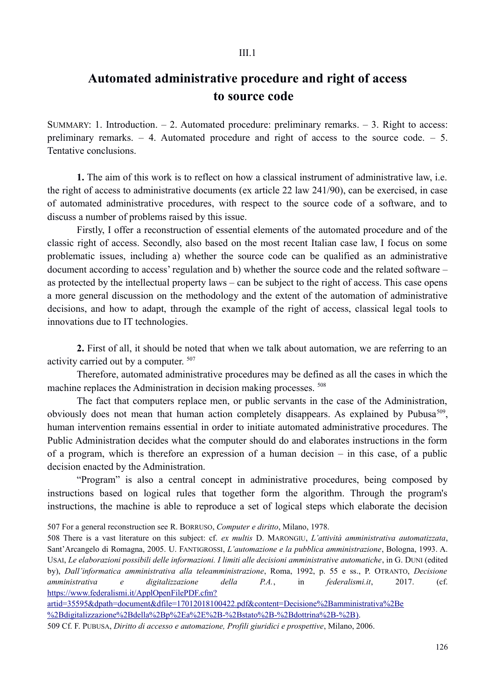## **Automated administrative procedure and right of access to source code**

SUMMARY: 1. Introduction.  $-2$ . Automated procedure: preliminary remarks.  $-3$ . Right to access: preliminary remarks.  $-4$ . Automated procedure and right of access to the source code.  $-5$ . Tentative conclusions.

**1.** The aim of this work is to reflect on how a classical instrument of administrative law, i.e. the right of access to administrative documents (ex article 22 law 241/90), can be exercised, in case of automated administrative procedures, with respect to the source code of a software, and to discuss a number of problems raised by this issue.

Firstly, I offer a reconstruction of essential elements of the automated procedure and of the classic right of access. Secondly, also based on the most recent Italian case law, I focus on some problematic issues, including a) whether the source code can be qualified as an administrative document according to access' regulation and b) whether the source code and the related software – as protected by the intellectual property laws – can be subject to the right of access. This case opens a more general discussion on the methodology and the extent of the automation of administrative decisions, and how to adapt, through the example of the right of access, classical legal tools to innovations due to IT technologies.

**2.** First of all, it should be noted that when we talk about automation, we are referring to an activity carried out by a computer. 507

Therefore, automated administrative procedures may be defined as all the cases in which the machine replaces the Administration in decision making processes. 508

The fact that computers replace men, or public servants in the case of the Administration, obviously does not mean that human action completely disappears. As explained by Pubusa<sup>509</sup>, human intervention remains essential in order to initiate automated administrative procedures. The Public Administration decides what the computer should do and elaborates instructions in the form of a program, which is therefore an expression of a human decision – in this case, of a public decision enacted by the Administration.

"Program" is also a central concept in administrative procedures, being composed by instructions based on logical rules that together form the algorithm. Through the program's instructions, the machine is able to reproduce a set of logical steps which elaborate the decision

507 For a general reconstruction see R. BORRUSO, *Computer e diritto*, Milano, 1978.

508 There is a vast literature on this subject: cf. *ex multis* D. MARONGIU, *L'attività amministrativa automatizzata*, Sant'Arcangelo di Romagna, 2005. U. FANTIGROSSI, *L'automazione e la pubblica amministrazione*, Bologna, 1993. A. USAI, *Le elaborazioni possibili delle informazioni. I limiti alle decisioni amministrative automatiche*, in G. DUNI (edited by), *Dall'informatica amministrativa alla teleamministrazione*, Roma, 1992, p. 55 e ss., P. OTRANTO, *Decisione amministrativa e digitalizzazione della P.A.*, in *federalismi.it*, 2017. (cf. https://www.federalismi.it/ApplOpenFilePDF.cfm?

artid=35595&dpath=document&dfile=17012018100422.pdf&content=Decisione%2Bamministrativa%2Be %2Bdigitalizzazione%2Bdella%2Bp%2Ea%2E%2B-%2Bstato%2B-%2Bdottrina%2B-%2B).

509 Cf. F. PUBUSA, *Diritto di accesso e automazione, Profili giuridici e prospettive*, Milano, 2006.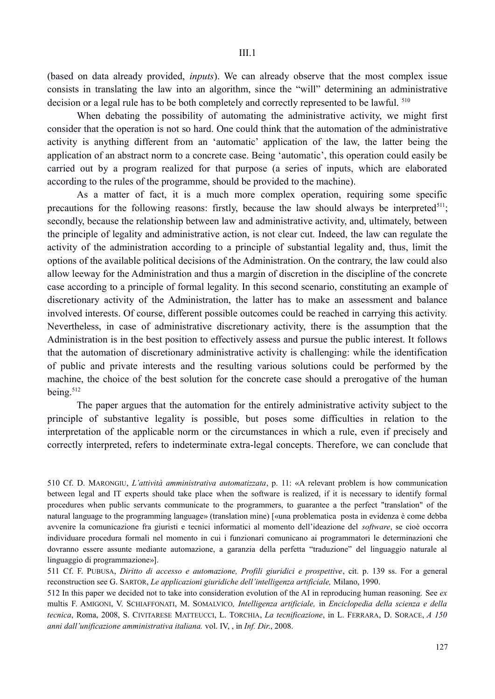(based on data already provided, *inputs*). We can already observe that the most complex issue consists in translating the law into an algorithm, since the "will" determining an administrative decision or a legal rule has to be both completely and correctly represented to be lawful. <sup>510</sup>

When debating the possibility of automating the administrative activity, we might first consider that the operation is not so hard. One could think that the automation of the administrative activity is anything different from an 'automatic' application of the law, the latter being the application of an abstract norm to a concrete case. Being 'automatic', this operation could easily be carried out by a program realized for that purpose (a series of inputs, which are elaborated according to the rules of the programme, should be provided to the machine).

As a matter of fact, it is a much more complex operation, requiring some specific precautions for the following reasons: firstly, because the law should always be interpreted<sup>511</sup>; secondly, because the relationship between law and administrative activity, and, ultimately, between the principle of legality and administrative action, is not clear cut. Indeed, the law can regulate the activity of the administration according to a principle of substantial legality and, thus, limit the options of the available political decisions of the Administration. On the contrary, the law could also allow leeway for the Administration and thus a margin of discretion in the discipline of the concrete case according to a principle of formal legality. In this second scenario, constituting an example of discretionary activity of the Administration, the latter has to make an assessment and balance involved interests. Of course, different possible outcomes could be reached in carrying this activity. Nevertheless, in case of administrative discretionary activity, there is the assumption that the Administration is in the best position to effectively assess and pursue the public interest. It follows that the automation of discretionary administrative activity is challenging: while the identification of public and private interests and the resulting various solutions could be performed by the machine, the choice of the best solution for the concrete case should a prerogative of the human being.<sup>512</sup>

The paper argues that the automation for the entirely administrative activity subject to the principle of substantive legality is possible, but poses some difficulties in relation to the interpretation of the applicable norm or the circumstances in which a rule, even if precisely and correctly interpreted, refers to indeterminate extra-legal concepts. Therefore, we can conclude that

510 Cf. D. MARONGIU, *L'attività amministrativa automatizzata*, p. 11: «A relevant problem is how communication between legal and IT experts should take place when the software is realized, if it is necessary to identify formal procedures when public servants communicate to the programmers, to guarantee a the perfect "translation" of the natural language to the programming language» (translation mine) [«una problematica posta in evidenza è come debba avvenire la comunicazione fra giuristi e tecnici informatici al momento dell'ideazione del *software*, se cioè occorra individuare procedura formali nel momento in cui i funzionari comunicano ai programmatori le determinazioni che dovranno essere assunte mediante automazione, a garanzia della perfetta "traduzione" del linguaggio naturale al linguaggio di programmazione»].

511 Cf. F. PUBUSA, *Diritto di accesso e automazione, Profili giuridici e prospettive*, cit. p. 139 ss. For a general reconstruction see G. SARTOR, *Le applicazioni giuridiche dell'intelligenza artificiale,* Milano, 1990.

512 In this paper we decided not to take into consideration evolution of the AI in reproducing human reasoning. See *ex* multis F. AMIGONI, V. SCHIAFFONATI, M. SOMALVICO*, Intelligenza artificiale,* in *Enciclopedia della scienza e della tecnica*, Roma, 2008, S. CIVITARESE MATTEUCCI, L. TORCHIA, *La tecnificazione*, in L. FERRARA, D. SORACE, *A 150 anni dall'unificazione amministrativa italiana.* vol. IV, , in *Inf. Dir*., 2008.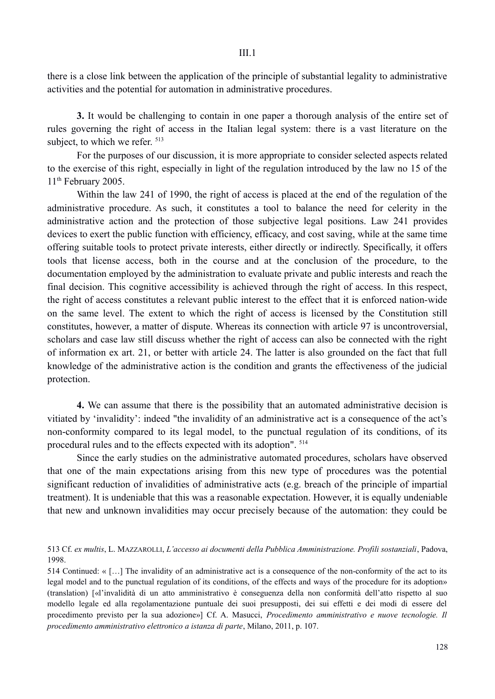there is a close link between the application of the principle of substantial legality to administrative activities and the potential for automation in administrative procedures.

**3.** It would be challenging to contain in one paper a thorough analysis of the entire set of rules governing the right of access in the Italian legal system: there is a vast literature on the subject, to which we refer.  $513$ 

For the purposes of our discussion, it is more appropriate to consider selected aspects related to the exercise of this right, especially in light of the regulation introduced by the law no 15 of the 11<sup>th</sup> February 2005.

Within the law 241 of 1990, the right of access is placed at the end of the regulation of the administrative procedure. As such, it constitutes a tool to balance the need for celerity in the administrative action and the protection of those subjective legal positions. Law 241 provides devices to exert the public function with efficiency, efficacy, and cost saving, while at the same time offering suitable tools to protect private interests, either directly or indirectly. Specifically, it offers tools that license access, both in the course and at the conclusion of the procedure, to the documentation employed by the administration to evaluate private and public interests and reach the final decision. This cognitive accessibility is achieved through the right of access. In this respect, the right of access constitutes a relevant public interest to the effect that it is enforced nation-wide on the same level. The extent to which the right of access is licensed by the Constitution still constitutes, however, a matter of dispute. Whereas its connection with article 97 is uncontroversial, scholars and case law still discuss whether the right of access can also be connected with the right of information ex art. 21, or better with article 24. The latter is also grounded on the fact that full knowledge of the administrative action is the condition and grants the effectiveness of the judicial protection.

**4.** We can assume that there is the possibility that an automated administrative decision is vitiated by 'invalidity': indeed "the invalidity of an administrative act is a consequence of the act's non-conformity compared to its legal model, to the punctual regulation of its conditions, of its procedural rules and to the effects expected with its adoption". 514

Since the early studies on the administrative automated procedures, scholars have observed that one of the main expectations arising from this new type of procedures was the potential significant reduction of invalidities of administrative acts (e.g. breach of the principle of impartial treatment). It is undeniable that this was a reasonable expectation. However, it is equally undeniable that new and unknown invalidities may occur precisely because of the automation: they could be

513 Cf. *ex multis*, L. MAZZAROLLI, *L'accesso ai documenti della Pubblica Amministrazione. Profili sostanziali*, Padova, 1998.

514 Continued: « […] The invalidity of an administrative act is a consequence of the non-conformity of the act to its legal model and to the punctual regulation of its conditions, of the effects and ways of the procedure for its adoption» (translation) [«l'invalidità di un atto amministrativo è conseguenza della non conformità dell'atto rispetto al suo modello legale ed alla regolamentazione puntuale dei suoi presupposti, dei sui effetti e dei modi di essere del procedimento previsto per la sua adozione»] Cf. A. Masucci, *Procedimento amministrativo e nuove tecnologie. Il procedimento amministrativo elettronico a istanza di parte*, Milano, 2011, p. 107.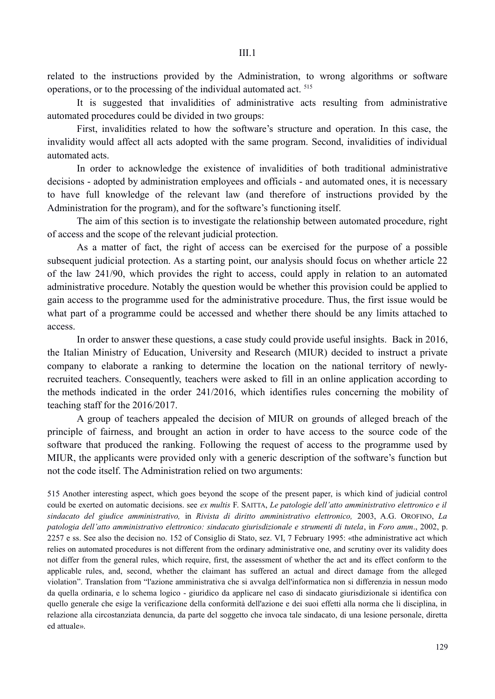related to the instructions provided by the Administration, to wrong algorithms or software operations, or to the processing of the individual automated act. 515

It is suggested that invalidities of administrative acts resulting from administrative automated procedures could be divided in two groups:

First, invalidities related to how the software's structure and operation. In this case, the invalidity would affect all acts adopted with the same program. Second, invalidities of individual automated acts.

In order to acknowledge the existence of invalidities of both traditional administrative decisions - adopted by administration employees and officials - and automated ones, it is necessary to have full knowledge of the relevant law (and therefore of instructions provided by the Administration for the program), and for the software's functioning itself.

The aim of this section is to investigate the relationship between automated procedure, right of access and the scope of the relevant judicial protection.

As a matter of fact, the right of access can be exercised for the purpose of a possible subsequent judicial protection. As a starting point, our analysis should focus on whether article 22 of the law 241/90, which provides the right to access, could apply in relation to an automated administrative procedure. Notably the question would be whether this provision could be applied to gain access to the programme used for the administrative procedure. Thus, the first issue would be what part of a programme could be accessed and whether there should be any limits attached to access.

In order to answer these questions, a case study could provide useful insights. Back in 2016, the Italian Ministry of Education, University and Research (MIUR) decided to instruct a private company to elaborate a ranking to determine the location on the national territory of newlyrecruited teachers. Consequently, teachers were asked to fill in an online application according to the methods indicated in the order 241/2016, which identifies rules concerning the mobility of teaching staff for the 2016/2017.

A group of teachers appealed the decision of MIUR on grounds of alleged breach of the principle of fairness, and brought an action in order to have access to the source code of the software that produced the ranking. Following the request of access to the programme used by MIUR, the applicants were provided only with a generic description of the software's function but not the code itself. The Administration relied on two arguments:

515 Another interesting aspect, which goes beyond the scope of the present paper, is which kind of judicial control could be exerted on automatic decisions. see *ex multis* F. SAITTA, *Le patologie dell'atto amministrativo elettronico e il sindacato del giudice amministrativo,* in *Rivista di diritto amministrativo elettronico,* 2003, A.G. OROFINO, *La patologia dell'atto amministrativo elettronico: sindacato giurisdizionale e strumenti di tutela*, in *Foro amm*., 2002, p. 2257 e ss. See also the decision no. 152 of Consiglio di Stato, sez. VI, 7 February 1995: «the administrative act which relies on automated procedures is not different from the ordinary administrative one, and scrutiny over its validity does not differ from the general rules, which require, first, the assessment of whether the act and its effect conform to the applicable rules, and, second, whether the claimant has suffered an actual and direct damage from the alleged violation". Translation from "l'azione amministrativa che si avvalga dell'informatica non si differenzia in nessun modo da quella ordinaria, e lo schema logico - giuridico da applicare nel caso di sindacato giurisdizionale si identifica con quello generale che esige la verificazione della conformità dell'azione e dei suoi effetti alla norma che li disciplina, in relazione alla circostanziata denuncia, da parte del soggetto che invoca tale sindacato, di una lesione personale, diretta ed attuale».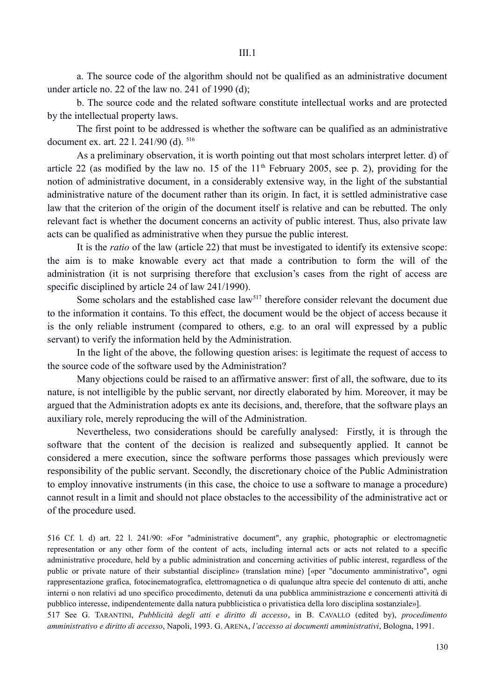a. The source code of the algorithm should not be qualified as an administrative document under article no. 22 of the law no. 241 of 1990 (d);

b. The source code and the related software constitute intellectual works and are protected by the intellectual property laws.

The first point to be addressed is whether the software can be qualified as an administrative document ex. art. 22 l. 241/90 (d). 516

As a preliminary observation, it is worth pointing out that most scholars interpret letter. d) of article 22 (as modified by the law no. 15 of the  $11<sup>th</sup>$  February 2005, see p. 2), providing for the notion of administrative document, in a considerably extensive way, in the light of the substantial administrative nature of the document rather than its origin. In fact, it is settled administrative case law that the criterion of the origin of the document itself is relative and can be rebutted. The only relevant fact is whether the document concerns an activity of public interest. Thus, also private law acts can be qualified as administrative when they pursue the public interest.

It is the *ratio* of the law (article 22) that must be investigated to identify its extensive scope: the aim is to make knowable every act that made a contribution to form the will of the administration (it is not surprising therefore that exclusion's cases from the right of access are specific disciplined by article 24 of law 241/1990).

Some scholars and the established case law<sup>517</sup> therefore consider relevant the document due to the information it contains. To this effect, the document would be the object of access because it is the only reliable instrument (compared to others, e.g. to an oral will expressed by a public servant) to verify the information held by the Administration.

In the light of the above, the following question arises: is legitimate the request of access to the source code of the software used by the Administration?

Many objections could be raised to an affirmative answer: first of all, the software, due to its nature, is not intelligible by the public servant, nor directly elaborated by him. Moreover, it may be argued that the Administration adopts ex ante its decisions, and, therefore, that the software plays an auxiliary role, merely reproducing the will of the Administration.

Nevertheless, two considerations should be carefully analysed: Firstly, it is through the software that the content of the decision is realized and subsequently applied. It cannot be considered a mere execution, since the software performs those passages which previously were responsibility of the public servant. Secondly, the discretionary choice of the Public Administration to employ innovative instruments (in this case, the choice to use a software to manage a procedure) cannot result in a limit and should not place obstacles to the accessibility of the administrative act or of the procedure used.

516 Cf. l. d) art. 22 l. 241/90: «For "administrative document", any graphic, photographic or electromagnetic representation or any other form of the content of acts, including internal acts or acts not related to a specific administrative procedure, held by a public administration and concerning activities of public interest, regardless of the public or private nature of their substantial discipline» (translation mine) [«per "documento amministrativo", ogni rappresentazione grafica, fotocinematografica, elettromagnetica o di qualunque altra specie del contenuto di atti, anche interni o non relativi ad uno specifico procedimento, detenuti da una pubblica amministrazione e concernenti attività di pubblico interesse, indipendentemente dalla natura pubblicistica o privatistica della loro disciplina sostanziale»].

517 See G. TARANTINI, *Pubblicità degli atti e diritto di accesso*, in B. CAVALLO (edited by), *procedimento amministrativo e diritto di accesso*, Napoli, 1993. G. ARENA, *l'accesso ai documenti amministrativi*, Bologna, 1991.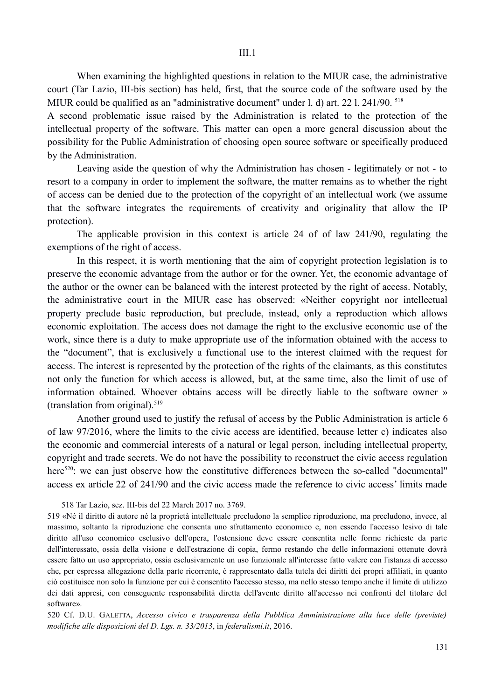When examining the highlighted questions in relation to the MIUR case, the administrative court (Tar Lazio, III-bis section) has held, first, that the source code of the software used by the MIUR could be qualified as an "administrative document" under l. d) art. 22 l. 241/90. <sup>518</sup>

A second problematic issue raised by the Administration is related to the protection of the intellectual property of the software. This matter can open a more general discussion about the possibility for the Public Administration of choosing open source software or specifically produced by the Administration.

Leaving aside the question of why the Administration has chosen - legitimately or not - to resort to a company in order to implement the software, the matter remains as to whether the right of access can be denied due to the protection of the copyright of an intellectual work (we assume that the software integrates the requirements of creativity and originality that allow the IP protection).

The applicable provision in this context is article 24 of of law 241/90, regulating the exemptions of the right of access.

In this respect, it is worth mentioning that the aim of copyright protection legislation is to preserve the economic advantage from the author or for the owner. Yet, the economic advantage of the author or the owner can be balanced with the interest protected by the right of access. Notably, the administrative court in the MIUR case has observed: «Neither copyright nor intellectual property preclude basic reproduction, but preclude, instead, only a reproduction which allows economic exploitation. The access does not damage the right to the exclusive economic use of the work, since there is a duty to make appropriate use of the information obtained with the access to the "document", that is exclusively a functional use to the interest claimed with the request for access. The interest is represented by the protection of the rights of the claimants, as this constitutes not only the function for which access is allowed, but, at the same time, also the limit of use of information obtained. Whoever obtains access will be directly liable to the software owner » (translation from original). $519$ 

Another ground used to justify the refusal of access by the Public Administration is article 6 of law 97/2016, where the limits to the civic access are identified, because letter c) indicates also the economic and commercial interests of a natural or legal person, including intellectual property, copyright and trade secrets. We do not have the possibility to reconstruct the civic access regulation here<sup>520</sup>: we can just observe how the constitutive differences between the so-called "documental" access ex article 22 of 241/90 and the civic access made the reference to civic access' limits made

518 Tar Lazio, sez. III-bis del 22 March 2017 no. 3769.

519 «Né il diritto di autore né la proprietà intellettuale precludono la semplice riproduzione, ma precludono, invece, al massimo, soltanto la riproduzione che consenta uno sfruttamento economico e, non essendo l'accesso lesivo di tale diritto all'uso economico esclusivo dell'opera, l'ostensione deve essere consentita nelle forme richieste da parte dell'interessato, ossia della visione e dell'estrazione di copia, fermo restando che delle informazioni ottenute dovrà essere fatto un uso appropriato, ossia esclusivamente un uso funzionale all'interesse fatto valere con l'istanza di accesso che, per espressa allegazione della parte ricorrente, è rappresentato dalla tutela dei diritti dei propri affiliati, in quanto ciò costituisce non solo la funzione per cui è consentito l'accesso stesso, ma nello stesso tempo anche il limite di utilizzo dei dati appresi, con conseguente responsabilità diretta dell'avente diritto all'accesso nei confronti del titolare del software».

520 Cf. D.U. GALETTA, *Accesso civico e trasparenza della Pubblica Amministrazione alla luce delle (previste) modifiche alle disposizioni del D. Lgs. n. 33/2013*, in *federalismi.it*, 2016.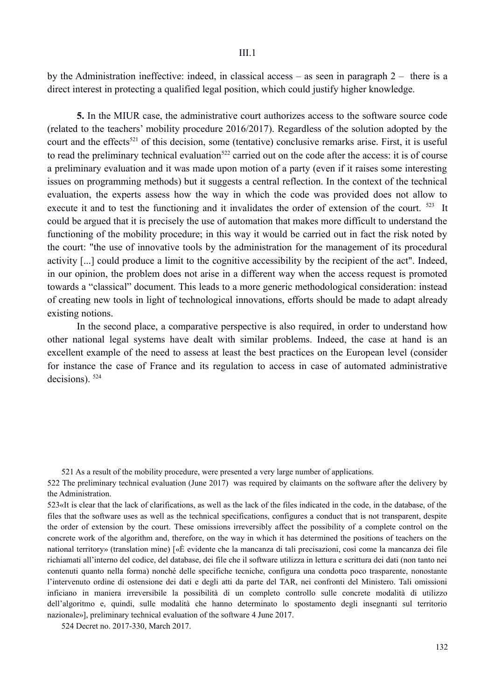by the Administration ineffective: indeed, in classical access – as seen in paragraph 2 – there is a direct interest in protecting a qualified legal position, which could justify higher knowledge.

**5.** In the MIUR case, the administrative court authorizes access to the software source code (related to the teachers' mobility procedure 2016/2017). Regardless of the solution adopted by the court and the effects<sup>521</sup> of this decision, some (tentative) conclusive remarks arise. First, it is useful to read the preliminary technical evaluation<sup>522</sup> carried out on the code after the access: it is of course a preliminary evaluation and it was made upon motion of a party (even if it raises some interesting issues on programming methods) but it suggests a central reflection. In the context of the technical evaluation, the experts assess how the way in which the code was provided does not allow to execute it and to test the functioning and it invalidates the order of extension of the court. <sup>523</sup> It could be argued that it is precisely the use of automation that makes more difficult to understand the functioning of the mobility procedure; in this way it would be carried out in fact the risk noted by the court: "the use of innovative tools by the administration for the management of its procedural activity [...] could produce a limit to the cognitive accessibility by the recipient of the act". Indeed, in our opinion, the problem does not arise in a different way when the access request is promoted towards a "classical" document. This leads to a more generic methodological consideration: instead of creating new tools in light of technological innovations, efforts should be made to adapt already existing notions.

In the second place, a comparative perspective is also required, in order to understand how other national legal systems have dealt with similar problems. Indeed, the case at hand is an excellent example of the need to assess at least the best practices on the European level (consider for instance the case of France and its regulation to access in case of automated administrative decisions). 524

521 As a result of the mobility procedure, were presented a very large number of applications.

522 The preliminary technical evaluation (June 2017) was required by claimants on the software after the delivery by the Administration.

523«It is clear that the lack of clarifications, as well as the lack of the files indicated in the code, in the database, of the files that the software uses as well as the technical specifications, configures a conduct that is not transparent, despite the order of extension by the court. These omissions irreversibly affect the possibility of a complete control on the concrete work of the algorithm and, therefore, on the way in which it has determined the positions of teachers on the national territory» (translation mine) [«È evidente che la mancanza di tali precisazioni, così come la mancanza dei file richiamati all'interno del codice, del database, dei file che il software utilizza in lettura e scrittura dei dati (non tanto nei contenuti quanto nella forma) nonché delle specifiche tecniche, configura una condotta poco trasparente, nonostante l'intervenuto ordine di ostensione dei dati e degli atti da parte del TAR, nei confronti del Ministero. Tali omissioni inficiano in maniera irreversibile la possibilita di un completo controllo sulle concrete modalita di utilizzo dell'algoritmo e, quindi, sulle modalita che hanno determinato lo spostamento degli insegnanti sul territorio nazionale»], preliminary technical evaluation of the software 4 June 2017.

524 Decret no. 2017-330, March 2017.